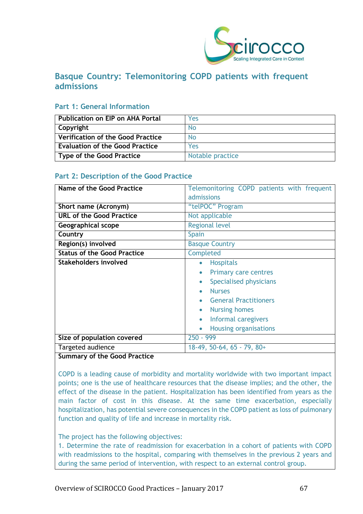

# **Basque Country: Telemonitoring COPD patients with frequent admissions**

# **Part 1: General Information**

| <b>Publication on EIP on AHA Portal</b> | Yes              |
|-----------------------------------------|------------------|
| Copyright                               | No.              |
| Verification of the Good Practice       | No               |
| <b>Evaluation of the Good Practice</b>  | Yes              |
| Type of the Good Practice               | Notable practice |

# **Part 2: Description of the Good Practice**

| Name of the Good Practice          | Telemonitoring COPD patients with frequent<br>admissions                                                                                                                                                                                         |
|------------------------------------|--------------------------------------------------------------------------------------------------------------------------------------------------------------------------------------------------------------------------------------------------|
| Short name (Acronym)               | "telPOC" Program                                                                                                                                                                                                                                 |
| <b>URL of the Good Practice</b>    | Not applicable                                                                                                                                                                                                                                   |
| Geographical scope                 | <b>Regional level</b>                                                                                                                                                                                                                            |
| Country                            | Spain                                                                                                                                                                                                                                            |
| Region(s) involved                 | <b>Basque Country</b>                                                                                                                                                                                                                            |
| <b>Status of the Good Practice</b> | Completed                                                                                                                                                                                                                                        |
| Stakeholders involved              | <b>Hospitals</b><br>$\bullet$<br><b>Primary care centres</b><br>Specialised physicians<br><b>Nurses</b><br><b>General Practitioners</b><br><b>Nursing homes</b><br>$\bullet$<br>Informal caregivers<br><b>Housing organisations</b><br>$\bullet$ |
| Size of population covered         | $250 - 999$                                                                                                                                                                                                                                      |
| Targeted audience                  | $18-49, 50-64, 65 - 79, 80+$                                                                                                                                                                                                                     |

# **Summary of the Good Practice**

COPD is a leading cause of morbidity and mortality worldwide with two important impact points; one is the use of healthcare resources that the disease implies; and the other, the effect of the disease in the patient. Hospitalization has been identified from years as the main factor of cost in this disease. At the same time exacerbation, especially hospitalization, has potential severe consequences in the COPD patient as loss of pulmonary function and quality of life and increase in mortality risk.

### The project has the following objectives:

1. Determine the rate of readmission for exacerbation in a cohort of patients with COPD with readmissions to the hospital, comparing with themselves in the previous 2 years and during the same period of intervention, with respect to an external control group.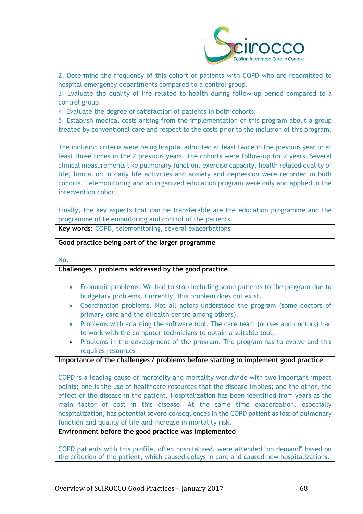

2. Determine the frequency of this cohort of patients with COPD who are readmitted to hospital emergency departments compared to a control group.

3. Evaluate the quality of life related to health during follow-up period compared to a control group.

4. Evaluate the degree of satisfaction of patients in both cohorts.

5. Establish medical costs arising from the implementation of this program about a group treated by conventional care and respect to the costs prior to the inclusion of this program.

The inclusion criteria were being hospital admitted at least twice in the previous year or at least three times in the 2 previous years. The cohorts were follow-up for 2 years. Several clinical measurements like pulmonary function, exercise capacity, health related quality of life, limitation in daily life activities and anxiety and depression were recorded in both cohorts. Telemonitoring and an organized education program were only and applied in the intervention cohort.

Finally, the key aspects that can be transferable are the education programme and the programme of telemonitoring and control of the patients. **Key words:** COPD, telemonitoring, several exacerbations

**Good practice being part of the larger programme**

No.

# **Challenges / problems addressed by the good practice**

- Economic problems. We had to stop including some patients to the program due to budgetary problems. Currently, this problem does not exist.
- Coordination problems. Not all actors understood the program (some doctors of primary care and the eHealth centre among others).
- Problems with adapting the software tool. The care team (nurses and doctors) had to work with the computer technicians to obtain a suitable tool.
- Problems in the development of the program. The program has to evolve and this requires resources.

### **Importance of the challenges / problems before starting to implement good practice**

COPD is a leading cause of morbidity and mortality worldwide with two important impact points; one is the use of healthcare resources that the disease implies; and the other, the effect of the disease in the patient. Hospitalization has been identified from years as the main factor of cost in this disease. At the same time exacerbation, especially hospitalization, has potential severe consequences in the COPD patient as loss of pulmonary function and quality of life and increase in mortality risk.

**Environment before the good practice was implemented** 

COPD patients with this profile, often hospitalized, were attended "on demand" based on the criterion of the patient, which caused delays in care and caused new hospitalizations.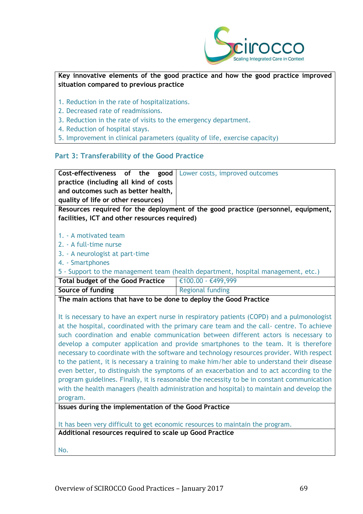

# **Key innovative elements of the good practice and how the good practice improved situation compared to previous practice**

- 1. Reduction in the rate of hospitalizations.
- 2. Decreased rate of readmissions.
- 3. Reduction in the rate of visits to the emergency department.
- 4. Reduction of hospital stays.
- 5. Improvement in clinical parameters (quality of life, exercise capacity)

### **Part 3: Transferability of the Good Practice**

| Cost-effectiveness of the good<br>practice (including all kind of costs<br>and outcomes such as better health,                     | Lower costs, improved outcomes |  |
|------------------------------------------------------------------------------------------------------------------------------------|--------------------------------|--|
| quality of life or other resources)                                                                                                |                                |  |
| Resources required for the deployment of the good practice (personnel, equipment,<br>facilities, ICT and other resources required) |                                |  |
|                                                                                                                                    |                                |  |
| 1. - A motivated team                                                                                                              |                                |  |
| 2. - A full-time nurse                                                                                                             |                                |  |
| 3. - A neurologist at part-time                                                                                                    |                                |  |
| 4. - Smartphones                                                                                                                   |                                |  |
| 5 - Support to the management team (health department, hospital management, etc.)                                                  |                                |  |
| <b>Total budget of the Good Practice</b>                                                                                           | €100.00 - €499,999             |  |
| Source of funding                                                                                                                  | Regional funding               |  |
| The main actions that have to be done to deploy the Good Practice                                                                  |                                |  |

It is necessary to have an expert nurse in respiratory patients (COPD) and a pulmonologist at the hospital, coordinated with the primary care team and the call- centre. To achieve such coordination and enable communication between different actors is necessary to develop a computer application and provide smartphones to the team. It is therefore necessary to coordinate with the software and technology resources provider. With respect to the patient, it is necessary a training to make him/her able to understand their disease even better, to distinguish the symptoms of an exacerbation and to act according to the program guidelines. Finally, it is reasonable the necessity to be in constant communication with the health managers (health administration and hospital) to maintain and develop the program.

**Issues during the implementation of the Good Practice**

It has been very difficult to get economic resources to maintain the program. **Additional resources required to scale up Good Practice**

No.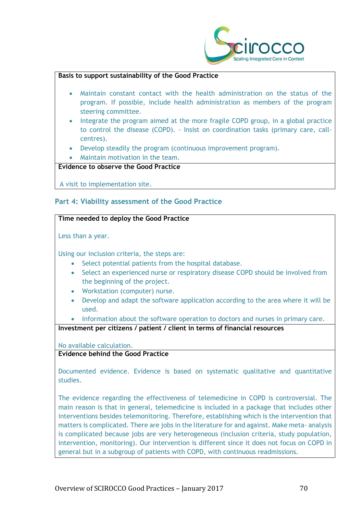

### **Basis to support sustainability of the Good Practice**

- Maintain constant contact with the health administration on the status of the program. If possible, include health administration as members of the program steering committee.
- Integrate the program aimed at the more fragile COPD group, in a global practice to control the disease (COPD). - Insist on coordination tasks (primary care, callcentres).
- Develop steadily the program (continuous improvement program).
- Maintain motivation in the team.

# **Evidence to observe the Good Practice**

A visit to implementation site.

# **Part 4: Viability assessment of the Good Practice**

### **Time needed to deploy the Good Practice**

Less than a year.

Using our inclusion criteria, the steps are:

- Select potential patients from the hospital database.
- Select an experienced nurse or respiratory disease COPD should be involved from the beginning of the project.
- Workstation (computer) nurse.
- Develop and adapt the software application according to the area where it will be used.

• Information about the software operation to doctors and nurses in primary care.

**Investment per citizens / patient / client in terms of financial resources**

No available calculation.

### **Evidence behind the Good Practice**

Documented evidence. Evidence is based on systematic qualitative and quantitative studies.

The evidence regarding the effectiveness of telemedicine in COPD is controversial. The main reason is that in general, telemedicine is included in a package that includes other interventions besides telemonitoring. Therefore, establishing which is the intervention that matters is complicated. There are jobs in the literature for and against. Make meta- analysis is complicated because jobs are very heterogeneous (inclusion criteria, study population, intervention, monitoring). Our intervention is different since it does not focus on COPD in general but in a subgroup of patients with COPD, with continuous readmissions.